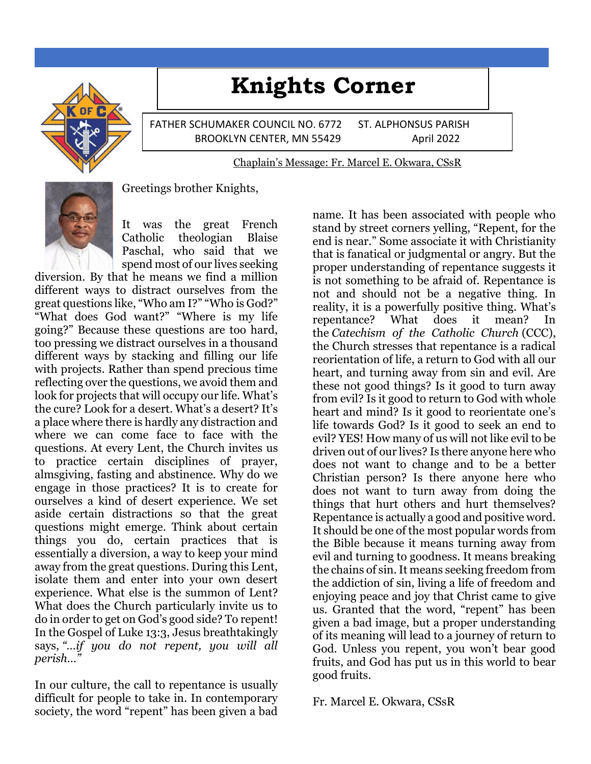# **Knights Corner**

FATHER SCHUMAKER COUNCIL NO. 6772 ST. ALPHONSUS PARISH BROOKLYN CENTER, MN 55429 April 2022

Chaplain's Message: Fr. Marcel E. Okwara, CSsR



Greetings brother Knights,

It was the great French Catholic theologian Blaise Paschal, who said that we spend most of our lives seeking

diversion. By that he means we find a million different ways to distract ourselves from the great questions like, "Who am I?" "Who is God?" "What does God want?" "Where is my life going?" Because these questions are too hard, too pressing we distract ourselves in a thousand different ways by stacking and filling our life with projects. Rather than spend precious time reflecting over the questions, we avoid them and look for projects that will occupy our life. What's the cure? Look for a desert. What's a desert? It's a place where there is hardly any distraction and where we can come face to face with the questions. At every Lent, the Church invites us to practice certain disciplines of prayer, almsgiving, fasting and abstinence. Why do we engage in those practices? It is to create for ourselves a kind of desert experience. We set aside certain distractions so that the great questions might emerge. Think about certain things you do, certain practices that is essentially a diversion, a way to keep your mind away from the great questions. During this Lent, isolate them and enter into your own desert experience. What else is the summon of Lent? What does the Church particularly invite us to do in order to get on God's good side? To repent! In the Gospel of Luke 13:3, Jesus breathtakingly says, *"…if you do not repent, you will all perish…"*

In our culture, the call to repentance is usually difficult for people to take in. In contemporary society, the word "repent" has been given a bad

name. It has been associated with people who stand by street corners yelling, "Repent, for the end is near." Some associate it with Christianity that is fanatical or judgmental or angry. But the proper understanding of repentance suggests it is not something to be afraid of. Repentance is not and should not be a negative thing. In reality, it is a powerfully positive thing. What's repentance? What does it mean? In the *Catechism of the Catholic Church* (CCC), the Church stresses that repentance is a radical reorientation of life, a return to God with all our heart, and turning away from sin and evil. Are these not good things? Is it good to turn away from evil? Is it good to return to God with whole heart and mind? Is it good to reorientate one's life towards God? Is it good to seek an end to evil? YES! How many of us will not like evil to be driven out of our lives? Is there anyone here who does not want to change and to be a better Christian person? Is there anyone here who does not want to turn away from doing the things that hurt others and hurt themselves? Repentance is actually a good and positive word. It should be one of the most popular words from the Bible because it means turning away from evil and turning to goodness. It means breaking the chains of sin. It means seeking freedom from the addiction of sin, living a life of freedom and enjoying peace and joy that Christ came to give us. Granted that the word, "repent" has been given a bad image, but a proper understanding of its meaning will lead to a journey of return to God. Unless you repent, you won't bear good fruits, and God has put us in this world to bear good fruits.

Fr. Marcel E. Okwara, CSsR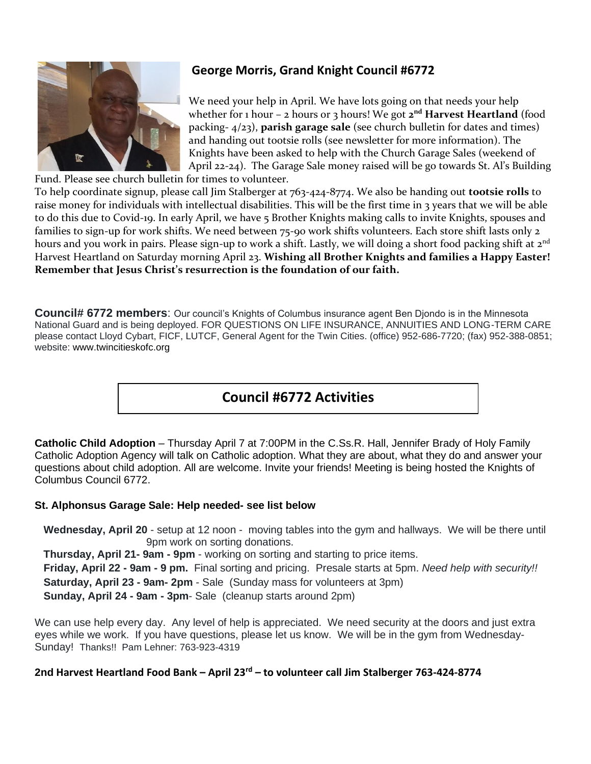

# **George Morris, Grand Knight Council #6772**

We need your help in April. We have lots going on that needs your help whether for 1 hour – 2 hours or 3 hours! We got **2 nd Harvest Heartland** (food packing- 4/23), **parish garage sale** (see church bulletin for dates and times) and handing out tootsie rolls (see newsletter for more information). The Knights have been asked to help with the Church Garage Sales (weekend of April 22-24). The Garage Sale money raised will be go towards St. Al's Building

Fund. Please see church bulletin for times to volunteer. To help coordinate signup, please call Jim Stalberger at 763-424-8774. We also be handing out **tootsie rolls** to raise money for individuals with intellectual disabilities. This will be the first time in 3 years that we will be able to do this due to Covid-19. In early April, we have 5 Brother Knights making calls to invite Knights, spouses and families to sign-up for work shifts. We need between 75-90 work shifts volunteers. Each store shift lasts only 2 hours and you work in pairs. Please sign-up to work a shift. Lastly, we will doing a short food packing shift at  $2^{nd}$ Harvest Heartland on Saturday morning April 23. **Wishing all Brother Knights and families a Happy Easter! Remember that Jesus Christ's resurrection is the foundation of our faith.**

**Council# 6772 members**: Our council's Knights of Columbus insurance agent Ben Djondo is in the Minnesota National Guard and is being deployed. FOR QUESTIONS ON LIFE INSURANCE, ANNUITIES AND LONG-TERM CARE please contact Lloyd Cybart, FICF, LUTCF, General Agent for the Twin Cities. (office) 952-686-7720; (fax) 952-388-0851; website: www.twincitieskofc.org

# **Council #6772 Activities**

**Catholic Child Adoption** – Thursday April 7 at 7:00PM in the C.Ss.R. Hall, Jennifer Brady of Holy Family Catholic Adoption Agency will talk on Catholic adoption. What they are about, what they do and answer your questions about child adoption. All are welcome. Invite your friends! Meeting is being hosted the Knights of Columbus Council 6772.

#### **St. Alphonsus Garage Sale: Help needed- see list below**

 **Wednesday, April 20** - setup at 12 noon - moving tables into the gym and hallways. We will be there until 9pm work on sorting donations.

 **Thursday, April 21- 9am - 9pm** - working on sorting and starting to price items.

 **Friday, April 22 - 9am - 9 pm.** Final sorting and pricing. Presale starts at 5pm. *Need help with security!!*  **Saturday, April 23 - 9am- 2pm** - Sale (Sunday mass for volunteers at 3pm)  **Sunday, April 24 - 9am - 3pm**- Sale (cleanup starts around 2pm)

We can use help every day. Any level of help is appreciated. We need security at the doors and just extra eyes while we work. If you have questions, please let us know. We will be in the gym from Wednesday-Sunday! Thanks!! Pam Lehner: 763-923-4319

#### **2nd Harvest Heartland Food Bank – April 23rd – to volunteer call Jim Stalberger 763-424-8774**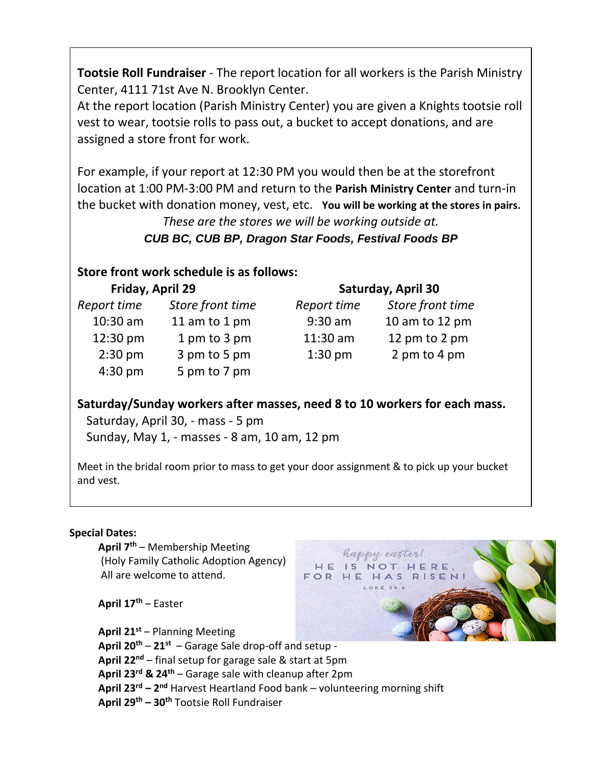**Tootsie Roll Fundraiser** - The report location for all workers is the Parish Ministry Center, 4111 71st Ave N. Brooklyn Center.

At the report location (Parish Ministry Center) you are given a Knights tootsie roll vest to wear, tootsie rolls to pass out, a bucket to accept donations, and are assigned a store front for work.

For example, if your report at 12:30 PM you would then be at the storefront location at 1:00 PM-3:00 PM and return to the **Parish Ministry Center** and turn-in the bucket with donation money, vest, etc. **You will be working at the stores in pairs.**

*These are the stores we will be working outside at. CUB BC, CUB BP, Dragon Star Foods, Festival Foods BP*

## **Store front work schedule is as follows:**

| Friday, April 29 |                  | <b>Saturday, April 30</b> |                  |
|------------------|------------------|---------------------------|------------------|
| Report time      | Store front time | Report time               | Store front time |
| $10:30$ am       | 11 am to 1 pm    | $9:30$ am                 | 10 am to 12 pm   |
| 12:30 pm         | 1 pm to 3 pm     | 11:30 am                  | 12 pm to 2 pm    |
| $2:30$ pm        | 3 pm to 5 pm     | $1:30$ pm                 | 2 pm to 4 pm     |
| $4:30$ pm        | 5 pm to 7 pm     |                           |                  |

**Saturday/Sunday workers after masses, need 8 to 10 workers for each mass.**

 Saturday, April 30, - mass - 5 pm Sunday, May 1, - masses - 8 am, 10 am, 12 pm

Meet in the bridal room prior to mass to get your door assignment & to pick up your bucket and vest.

> happy easter! HE IS NOT HERE, FOR HE HAS RISEN!

#### **Special Dates:**

 **April 7th** – Membership Meeting (Holy Family Catholic Adoption Agency) All are welcome to attend.

 **April 17th** – Easter

 $T_{\text{S}}$  **April 21st** – Planning Meeting **April 20th** – **21st** – Garage Sale drop-off and setup - **April 22nd** – final setup for garage sale & start at 5pm **April 23rd & 24th** – Garage sale with cleanup after 2pm  **April 23rd – 2 nd** Harvest Heartland Food bank – volunteering morning shift **April 29th – 30th** Tootsie Roll Fundraiser